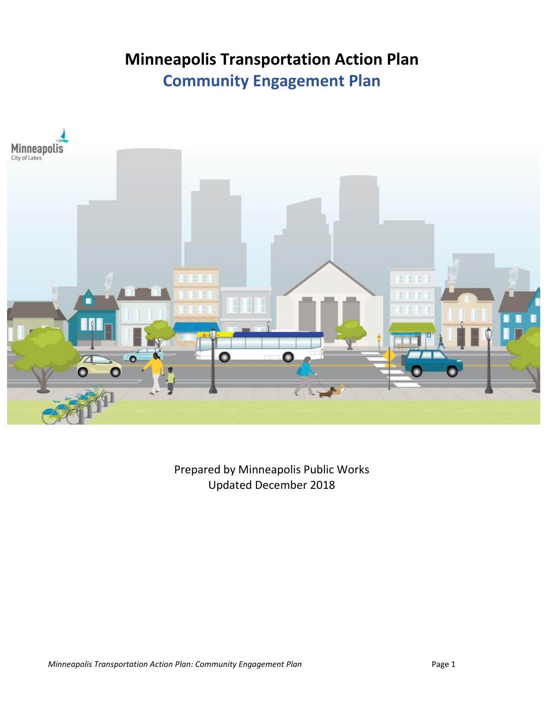# **Minneapolis Transportation Action Plan Community Engagement Plan**



Prepared by Minneapolis Public Works Updated December 2018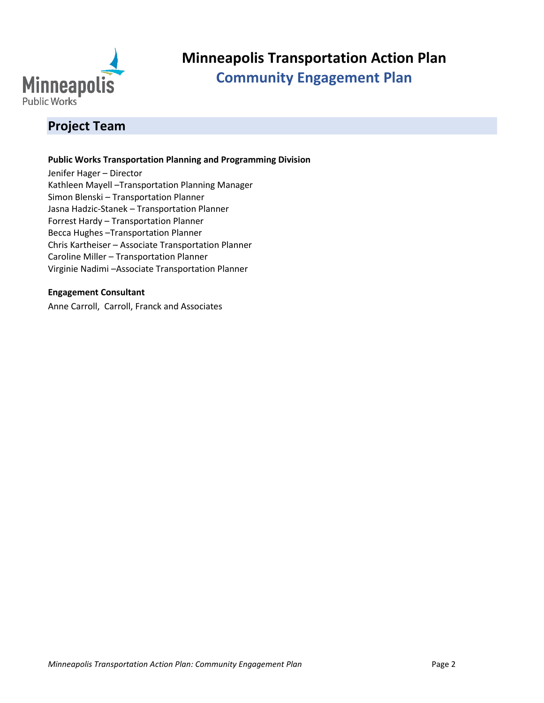

## **Minneapolis Transportation Action Plan Community Engagement Plan**

## **Project Team**

#### **Public Works Transportation Planning and Programming Division**

Jenifer Hager – Director Kathleen Mayell –Transportation Planning Manager Simon Blenski – Transportation Planner Jasna Hadzic-Stanek – Transportation Planner Forrest Hardy – Transportation Planner Becca Hughes –Transportation Planner Chris Kartheiser – Associate Transportation Planner Caroline Miller – Transportation Planner Virginie Nadimi –Associate Transportation Planner

#### **Engagement Consultant**

Anne Carroll, [Carroll, Franck and Associates](http://carrollfranck.com/)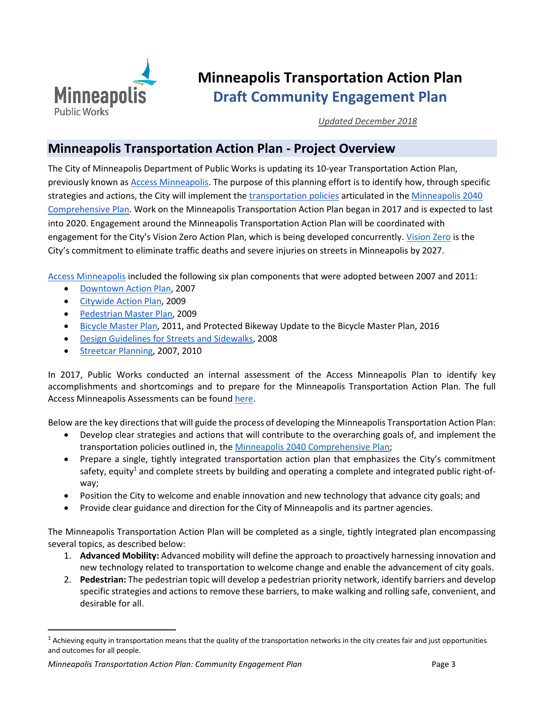

## **Minneapolis Transportation Action Plan Draft Community Engagement Plan**

*Updated December 2018*

### **Minneapolis Transportation Action Plan - Project Overview**

The City of Minneapolis Department of Public Works is updating its 10-year Transportation Action Plan, previously known as [Access Minneapolis.](http://www.minneapolismn.gov/publicworks/transplan/) The purpose of this planning effort is to identify how, through specific strategies and actions, the City will implement th[e transportation policies](https://minneapolis2040.com/topics/transportation/) articulated in the [Minneapolis 2040](https://minneapolis2040.com/topics/transportation/)  [Comprehensive Plan.](https://minneapolis2040.com/topics/transportation/) Work on the Minneapolis Transportation Action Plan began in 2017 and is expected to last into 2020. Engagement around the Minneapolis Transportation Action Plan will be coordinated with engagement for the City's [Vision Zero](http://www.minneapolismn.gov/publicworks/TransportationPlanning/visionzero) Action Plan, which is being developed concurrently. Vision Zero is the City's commitment to eliminate traffic deaths and severe injuries on streets in Minneapolis by 2027.

[Access Minneapolis](http://www.minneapolismn.gov/publicworks/transplan/) included the following six plan components that were adopted between 2007 and 2011:

- [Downtown Action Plan,](http://www.minneapolismn.gov/publicworks/transplan/comp/public-works_trans-plan_dwtnactionplan) 2007
- [Citywide Action Plan,](http://www.minneapolismn.gov/publicworks/transplan/comp/public-works_trans-plan_citywideactionplan) 2009
- [Pedestrian Master Plan,](http://www.minneapolismn.gov/pedestrian/pedestrian_pedestrian-masterplan) 2009
- [Bicycle Master Plan,](http://www.minneapolismn.gov/bicycles/WCMS1P-135610) 2011, and Protected Bikeway Update to the Bicycle Master Plan, 2016
- [Design Guidelines for Streets and Sidewalks,](http://www.minneapolismn.gov/publicworks/transplan/comp/public-works_trans-plan_designguidelines) 2008
- [Streetcar Planning,](http://www.minneapolismn.gov/publicworks/transplan/comp/public-works_trans-plan_streetcarstudy) 2007, 2010

In 2017, Public Works conducted an internal assessment of the Access Minneapolis Plan to identify key accomplishments and shortcomings and to prepare for the Minneapolis Transportation Action Plan. The full Access Minneapolis Assessments can be found here.

Below are the key directions that will guide the process of developing the Minneapolis Transportation Action Plan:

- Develop clear strategies and actions that will contribute to the overarching goals of, and implement the transportation policies outlined in, th[e Minneapolis 2040 Comprehensive Plan;](https://minneapolis2040.com/)
- Prepare a single, tightly integrated transportation action plan that emphasizes the City's commitment safety, equity<sup>1</sup> and complete streets by building and operating a complete and integrated public right-ofway;
- Position the City to welcome and enable innovation and new technology that advance city goals; and
- Provide clear guidance and direction for the City of Minneapolis and its partner agencies.

The Minneapolis Transportation Action Plan will be completed as a single, tightly integrated plan encompassing several topics, as described below:

- 1. **Advanced Mobility:** Advanced mobility will define the approach to proactively harnessing innovation and new technology related to transportation to welcome change and enable the advancement of city goals.
- 2. **Pedestrian:** The pedestrian topic will develop a pedestrian priority network, identify barriers and develop specific strategies and actions to remove these barriers, to make walking and rolling safe, convenient, and desirable for all.

 $\overline{\phantom{a}}$ 

 $<sup>1</sup>$  Achieving equity in transportation means that the quality of the transportation networks in the city creates fair and just opportunities</sup> and outcomes for all people.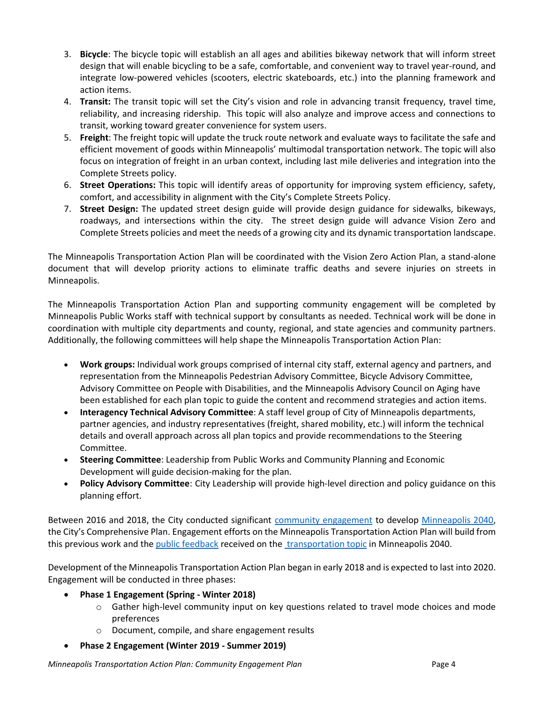- 3. **Bicycle**: The bicycle topic will establish an all ages and abilities bikeway network that will inform street design that will enable bicycling to be a safe, comfortable, and convenient way to travel year-round, and integrate low-powered vehicles (scooters, electric skateboards, etc.) into the planning framework and action items.
- 4. **Transit:** The transit topic will set the City's vision and role in advancing transit frequency, travel time, reliability, and increasing ridership. This topic will also analyze and improve access and connections to transit, working toward greater convenience for system users.
- 5. **Freight**: The freight topic will update the truck route network and evaluate ways to facilitate the safe and efficient movement of goods within Minneapolis' multimodal transportation network. The topic will also focus on integration of freight in an urban context, including last mile deliveries and integration into the Complete Streets policy.
- 6. **Street Operations:** This topic will identify areas of opportunity for improving system efficiency, safety, comfort, and accessibility in alignment with the City's Complete Streets Policy.
- 7. **Street Design:** The updated street design guide will provide design guidance for sidewalks, bikeways, roadways, and intersections within the city. The street design guide will advance Vision Zero and Complete Streets policies and meet the needs of a growing city and its dynamic transportation landscape.

The Minneapolis Transportation Action Plan will be coordinated with the Vision Zero Action Plan, a stand-alone document that will develop priority actions to eliminate traffic deaths and severe injuries on streets in Minneapolis.

The Minneapolis Transportation Action Plan and supporting community engagement will be completed by Minneapolis Public Works staff with technical support by consultants as needed. Technical work will be done in coordination with multiple city departments and county, regional, and state agencies and community partners. Additionally, the following committees will help shape the Minneapolis Transportation Action Plan:

- **Work groups:** Individual work groups comprised of internal city staff, external agency and partners, and representation from the Minneapolis Pedestrian Advisory Committee, Bicycle Advisory Committee, Advisory Committee on People with Disabilities, and the Minneapolis Advisory Council on Aging have been established for each plan topic to guide the content and recommend strategies and action items.
- **Interagency Technical Advisory Committee**: A staff level group of City of Minneapolis departments, partner agencies, and industry representatives (freight, shared mobility, etc.) will inform the technical details and overall approach across all plan topics and provide recommendations to the Steering Committee.
- **Steering Committee**: Leadership from Public Works and Community Planning and Economic Development will guide decision-making for the plan.
- **Policy Advisory Committee**: City Leadership will provide high-level direction and policy guidance on this planning effort.

Between 2016 and 2018, the City conducted significant [community engagement](https://minneapolis2040.com/planning-process/) to develop [Minneapolis 2040,](https://minneapolis2040.com/planning-process/) the City's Comprehensive Plan. Engagement efforts on the Minneapolis Transportation Action Plan will build from this previous work and th[e public feedback](https://minneapolis2040.com/received-public-comments/) received on th[e transportation topic](https://minneapolis2040.com/topics/transportation/) in Minneapolis 2040.

Development of the Minneapolis Transportation Action Plan began in early 2018 and is expected to last into 2020. Engagement will be conducted in three phases:

- **Phase 1 Engagement (Spring - Winter 2018)**
	- $\circ$  Gather high-level community input on key questions related to travel mode choices and mode preferences
	- o Document, compile, and share engagement results
- **Phase 2 Engagement (Winter 2019 - Summer 2019)**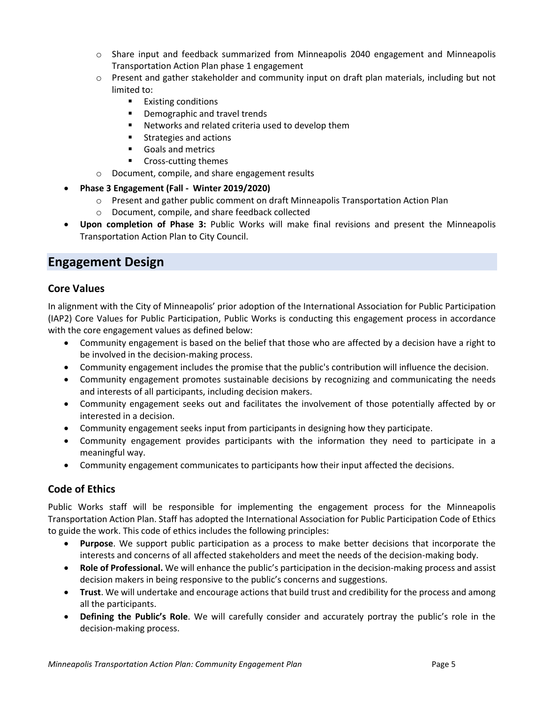- o Share input and feedback summarized from Minneapolis 2040 engagement and Minneapolis Transportation Action Plan phase 1 engagement
- o Present and gather stakeholder and community input on draft plan materials, including but not limited to:
	- Existing conditions
	- Demographic and travel trends
	- Networks and related criteria used to develop them
	- Strategies and actions
	- Goals and metrics
	- Cross-cutting themes
- o Document, compile, and share engagement results
- **Phase 3 Engagement (Fall - Winter 2019/2020)**
	- o Present and gather public comment on draft Minneapolis Transportation Action Plan
	- o Document, compile, and share feedback collected
- **Upon completion of Phase 3:** Public Works will make final revisions and present the Minneapolis Transportation Action Plan to City Council.

### **Engagement Design**

#### **Core Values**

In alignment with the City of Minneapolis' prior adoption of the International Association for Public Participation (IAP2) Core Values for Public Participation, Public Works is conducting this engagement process in accordance with the core engagement values as defined below:

- Community engagement is based on the belief that those who are affected by a decision have a right to be involved in the decision-making process.
- Community engagement includes the promise that the public's contribution will influence the decision.
- Community engagement promotes sustainable decisions by recognizing and communicating the needs and interests of all participants, including decision makers.
- Community engagement seeks out and facilitates the involvement of those potentially affected by or interested in a decision.
- Community engagement seeks input from participants in designing how they participate.
- Community engagement provides participants with the information they need to participate in a meaningful way.
- Community engagement communicates to participants how their input affected the decisions.

#### **Code of Ethics**

Public Works staff will be responsible for implementing the engagement process for the Minneapolis Transportation Action Plan. Staff has adopted the International Association for Public Participation Code of Ethics to guide the work. This code of ethics includes the following principles:

- **Purpose**. We support public participation as a process to make better decisions that incorporate the interests and concerns of all affected stakeholders and meet the needs of the decision-making body.
- **Role of Professional.** We will enhance the public's participation in the decision-making process and assist decision makers in being responsive to the public's concerns and suggestions.
- **Trust**. We will undertake and encourage actions that build trust and credibility for the process and among all the participants.
- **Defining the Public's Role**. We will carefully consider and accurately portray the public's role in the decision-making process.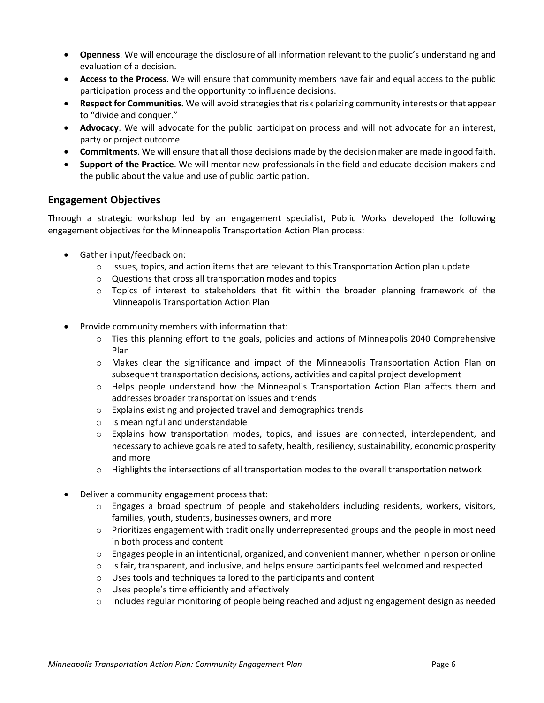- **Openness**. We will encourage the disclosure of all information relevant to the public's understanding and evaluation of a decision.
- **Access to the Process**. We will ensure that community members have fair and equal access to the public participation process and the opportunity to influence decisions.
- **Respect for Communities.** We will avoid strategies that risk polarizing community interests or that appear to "divide and conquer."
- **Advocacy**. We will advocate for the public participation process and will not advocate for an interest, party or project outcome.
- **Commitments**. We will ensure that all those decisions made by the decision maker are made in good faith.
- **Support of the Practice**. We will mentor new professionals in the field and educate decision makers and the public about the value and use of public participation.

#### **Engagement Objectives**

Through a strategic workshop led by an engagement specialist, Public Works developed the following engagement objectives for the Minneapolis Transportation Action Plan process:

- Gather input/feedback on:
	- $\circ$  Issues, topics, and action items that are relevant to this Transportation Action plan update
	- o Questions that cross all transportation modes and topics
	- $\circ$  Topics of interest to stakeholders that fit within the broader planning framework of the Minneapolis Transportation Action Plan
- Provide community members with information that:
	- $\circ$  Ties this planning effort to the goals, policies and actions of Minneapolis 2040 Comprehensive Plan
	- o Makes clear the significance and impact of the Minneapolis Transportation Action Plan on subsequent transportation decisions, actions, activities and capital project development
	- $\circ$  Helps people understand how the Minneapolis Transportation Action Plan affects them and addresses broader transportation issues and trends
	- o Explains existing and projected travel and demographics trends
	- o Is meaningful and understandable
	- o Explains how transportation modes, topics, and issues are connected, interdependent, and necessary to achieve goals related to safety, health, resiliency, sustainability, economic prosperity and more
	- $\circ$  Highlights the intersections of all transportation modes to the overall transportation network
- Deliver a community engagement process that:
	- o Engages a broad spectrum of people and stakeholders including residents, workers, visitors, families, youth, students, businesses owners, and more
	- o Prioritizes engagement with traditionally underrepresented groups and the people in most need in both process and content
	- $\circ$  Engages people in an intentional, organized, and convenient manner, whether in person or online
	- $\circ$  Is fair, transparent, and inclusive, and helps ensure participants feel welcomed and respected
	- o Uses tools and techniques tailored to the participants and content
	- o Uses people's time efficiently and effectively
	- $\circ$  Includes regular monitoring of people being reached and adjusting engagement design as needed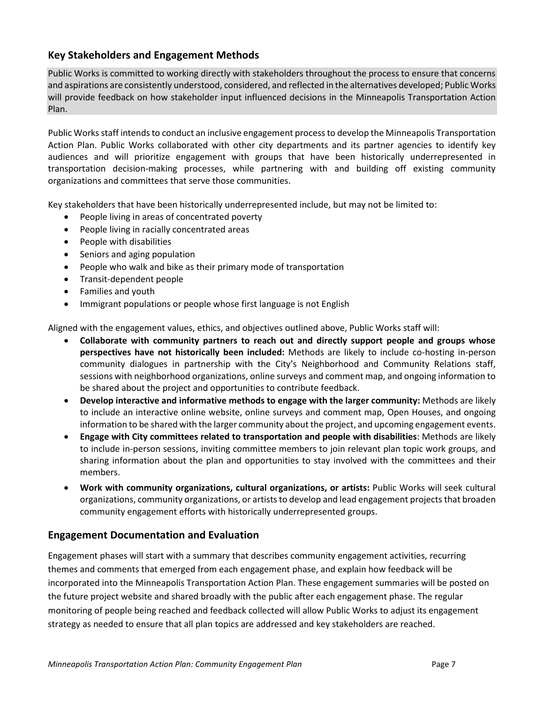#### **Key Stakeholders and Engagement Methods**

Public Works is committed to working directly with stakeholders throughout the process to ensure that concerns and aspirations are consistently understood, considered, and reflected in the alternatives developed; Public Works will provide feedback on how stakeholder input influenced decisions in the Minneapolis Transportation Action Plan.

Public Works staff intends to conduct an inclusive engagement processto develop the Minneapolis Transportation Action Plan. Public Works collaborated with other city departments and its partner agencies to identify key audiences and will prioritize engagement with groups that have been historically underrepresented in transportation decision-making processes, while partnering with and building off existing community organizations and committees that serve those communities.

Key stakeholders that have been historically underrepresented include, but may not be limited to:

- People living in areas of concentrated poverty
- People living in racially concentrated areas
- People with disabilities
- Seniors and aging population
- People who walk and bike as their primary mode of transportation
- Transit-dependent people
- Families and youth
- Immigrant populations or people whose first language is not English

Aligned with the engagement values, ethics, and objectives outlined above, Public Works staff will:

- **Collaborate with community partners to reach out and directly support people and groups whose perspectives have not historically been included:** Methods are likely to include co-hosting in-person community dialogues in partnership with the City's Neighborhood and Community Relations staff, sessions with neighborhood organizations, online surveys and comment map, and ongoing information to be shared about the project and opportunities to contribute feedback.
- **Develop interactive and informative methods to engage with the larger community:** Methods are likely to include an interactive online website, online surveys and comment map, Open Houses, and ongoing information to be shared with the larger community about the project, and upcoming engagement events.
- **Engage with City committees related to transportation and people with disabilities**: Methods are likely to include in-person sessions, inviting committee members to join relevant plan topic work groups, and sharing information about the plan and opportunities to stay involved with the committees and their members.
- **Work with community organizations, cultural organizations, or artists:** Public Works will seek cultural organizations, community organizations, or artiststo develop and lead engagement projects that broaden community engagement efforts with historically underrepresented groups.

#### **Engagement Documentation and Evaluation**

Engagement phases will start with a summary that describes community engagement activities, recurring themes and comments that emerged from each engagement phase, and explain how feedback will be incorporated into the Minneapolis Transportation Action Plan. These engagement summaries will be posted on the future project website and shared broadly with the public after each engagement phase. The regular monitoring of people being reached and feedback collected will allow Public Works to adjust its engagement strategy as needed to ensure that all plan topics are addressed and key stakeholders are reached.